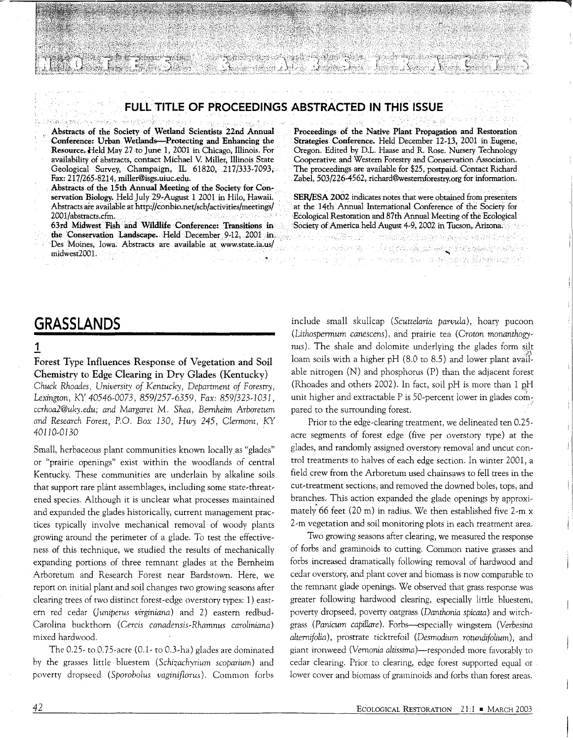## **FULL TITLE OF PROCEEDINGS ABSTRACTED IN THIS ISSUE**

a sa A

for the state of the second second second second second second second second second second second second second second second second second second second second second second second second second second second second secon

e mel

Abstracts of the Society of Wetland Scientists 22nd Annual Conference: Urban Wetlands-Protecting and Enhancing the Resource. Held May 27 to June 1, 2001 in Chicago, Illinois. For availability of abstracts, contact Michael V. Miller, Illinois State Geological Survey, Champaign, IL 61820, 217/333-7093, Fax: 217 /265-8214, miller®isgs.uiuc.edu.

 $-2\pi$ 

Abstracts of the 15th Annual Meeting of the Society for Conservation Biology. Held July 29-August 1 2001 in Hilo, Hawaii. Abstracts are available at http://conbio.net/scb/activities/meetings/ 2001/abstracts.cfm. ·

63rd Midwest Fish and Wildlife Conference: Transitions in the Conservation Landscape. Held December 9-12, 2001 in. Des Moines, Iowa; Abstracts are available at www.state.ia.us/ midwest2001.

Proceedings of the Native Plant Propagation and Restoration Strategies Conference. Held December 12-13, 2001 in Eugene, Oregon. Edited by D.L. Haase and R. Rose. Nursery Technology Cooperative and Western Forestry and Conservation Association. The proceedings are available for \$25, postpaid. Contact Richard Zabel, 503/226-4562, richard@westernforestry.org for information.

SER/ESA 2002 indicates notes that were obtained from presenters at the 14th Annual International Conference of the Society for Ecological Restoration and 87th Annual Meeting of the Ecological Society of America held August 4-9, 2002 in Tucson, Arizona;

لَّهُ يَعْلَى مَا يَدْرِيهِ فَيْ يَجْرِيبُ إِنَّ يَا مَا يَوْسَى بِيْنَ يَوْسَى بِيْنَ يَوْسَى بِيْن

i në shtetore të shkohet të Kabet nga tit

# **GRASSLANDS**

### 1

Forest Type Influences Response of Vegetation and Soil Chemistry to Edge Clearing in Dry Glades (Kentucky) *Chuck Rhoades, Universit)' of Kentuck)*1, *Department of Forestry, Lexington,* KY *40546-0073,* 859/257-6359, *Fax: 859/323-1031, ccrhoa2@uk)*<sup>1</sup> *.edu; and Margaret* M. *Shea, Bernheim Arboretum and Research Forest,* P.O. Box *130,* Hw)' *245, Clermont,* KY *40110-0130* .

Small, herbaceous plant communities known locally as "glades" or "prairie openings" exist within the woodlands of central Kentucky. These communities are underlain by alkaline soils that support rare plant assemblages, including some state-threatened species. Although it is unclear what processes maintained and expanded the glades historically, current management practices typically involve mechanical removal of woody plants growing around the perimeter of a glade. To test the effectiveness of this technique, we studied the results of mechanically expanding portions of three remnant glades at the Bernheim Arboretum and Research Forest near Bardstown. Here, we report on initial plant and soil changes two growing seasons after clearing trees of two distinct forest-edge overstory types: 1) eastern red cedar *(]uniperus virginiana)* and 2) eastern redbud-Carolina buckthorn (Cercis *canadensis-Rhamnus caroliniana)*  mixed hardwood.

The 0.25- to 0.75-acre (0.1- to 0.3-ha) glades are dominated by the grasses little bluestem *(Schizachyrium scoparium)* and poverty dropseed ( *Sporobolus vaginiflorus).* Common forbs include small skullcap *(Scuttelaria parvula),* hoary pucoon *(Lithospermum canescens),* and prairie tea (Croton monanthogy~ nus). The shale and dolomite underlying the glades form silt loam soils with a higher pH (8.0 to 8.5) and lower plant available nitrogen (N) and phosphorus (P) than the adjacent forest (Rhoades and others 2002). In fact, soil pH is more than  $1$  pH unit higher and extractable P is 50-percent lower in glades compared to the surrounding forest.

Prior to the edge-clearing treatment, we delineated ten 0.25 acre segments of forest edge (five per overstory type) at the glades, and randomly assigned overstory removal and uncut control treatments to halves of each edge section. In winter 2001, a field crew from the Arboretum used chainsaws to fell trees in the cut-treatment sections, and removed the downed boles, tops, and branches. This action expanded the glade openings by approximately 66 feet (20 m) in radius. We then established five 2-m x 2-m vegetation and soil monitoring plots in each treatment area.

Two growing seasons after clearing, we measured the response of forbs and graminoids to cutting. Common native grasses and forbs increased dramatically following removal of hardwood and cedar overstory, and plant cover and biomass is now comparable to the remnant glade openings. We observed that grass response was greater following hardwood clearing, especially little bluestem, poverty dropseed, poverty oatgrass *(Danthonia spicata)* and witchgrass *(Panicum capiUare).* Forbs-especially wingstem *(Verbesina alternifolia*), prostrate ticktrefoil *(Desmodium rotundifolium)*, and giant ironweed (Vernonia altissima)-responded more favorably to cedar clearing. Prior to clearing, edge forest supported equal or lower cover and biomass of graminoids and forbs than forest areas.

i